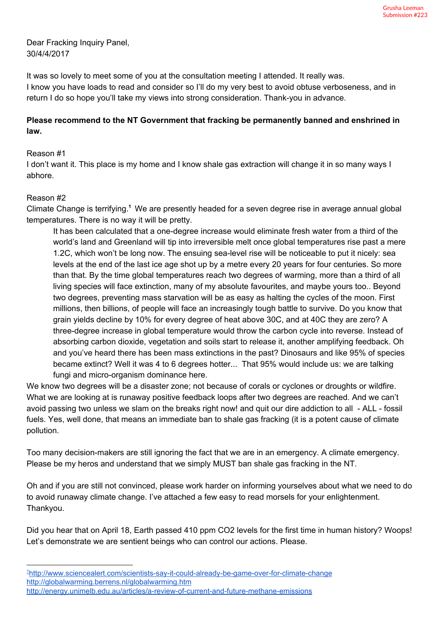Dear Fracking Inquiry Panel, 30/4/4/2017

It was so lovely to meet some of you at the consultation meeting I attended. It really was. I know you have loads to read and consider so I'll do my very best to avoid obtuse verboseness, and in return I do so hope you'll take my views into strong consideration. Thank-you in advance.

## **Please recommend to the NT Government that fracking be permanently banned and enshrined in law.**

## Reason #1

I don't want it. This place is my home and I know shale gas extraction will change it in so many ways I abhore.

## Reason #2

Climate Change is terrifying.<sup>1</sup> We are presently headed for a seven degree rise in average annual global temperatures. There is no way it will be pretty.

It has been calculated that a one-degree increase would eliminate fresh water from a third of the world's land and Greenland will tip into irreversible melt once global temperatures rise past a mere 1.2C, which won't be long now. The ensuing sea-level rise will be noticeable to put it nicely: sea levels at the end of the last ice age shot up by a metre every 20 years for four centuries. So more than that. By the time global temperatures reach two degrees of warming, more than a third of all living species will face extinction, many of my absolute favourites, and maybe yours too.. Beyond two degrees, preventing mass starvation will be as easy as halting the cycles of the moon. First millions, then billions, of people will face an increasingly tough battle to survive. Do you know that grain yields decline by 10% for every degree of heat above 30C, and at 40C they are zero? A three-degree increase in global temperature would throw the carbon cycle into reverse. Instead of absorbing carbon dioxide, vegetation and soils start to release it, another amplifying feedback. Oh and you've heard there has been mass extinctions in the past? Dinosaurs and like 95% of species became extinct? Well it was 4 to 6 degrees hotter... That 95% would include us: we are talking fungi and micro-organism dominance here.

We know two degrees will be a disaster zone; not because of corals or cyclones or droughts or wildfire. What we are looking at is runaway positive feedback loops after two degrees are reached. And we can't avoid passing two unless we slam on the breaks right now! and quit our dire addiction to all - ALL - fossil fuels. Yes, well done, that means an immediate ban to shale gas fracking (it is a potent cause of climate pollution.

Too many decision-makers are still ignoring the fact that we are in an emergency. A climate emergency. Please be my heros and understand that we simply MUST ban shale gas fracking in the NT.

Oh and if you are still not convinced, please work harder on informing yourselves about what we need to do to avoid runaway climate change. I've attached a few easy to read morsels for your enlightenment. Thankyou.

Did you hear that on April 18, Earth passed 410 ppm CO2 levels for the first time in human history? Woops! Let's demonstrate we are sentient beings who can control our actions. Please.

- <sup>1</sup><http://www.sciencealert.com/scientists-say-it-could-already-be-game-over-for-climate-change> <http://globalwarming.berrens.nl/globalwarming.htm>
- <http://energy.unimelb.edu.au/articles/a-review-of-current-and-future-methane-emissions>